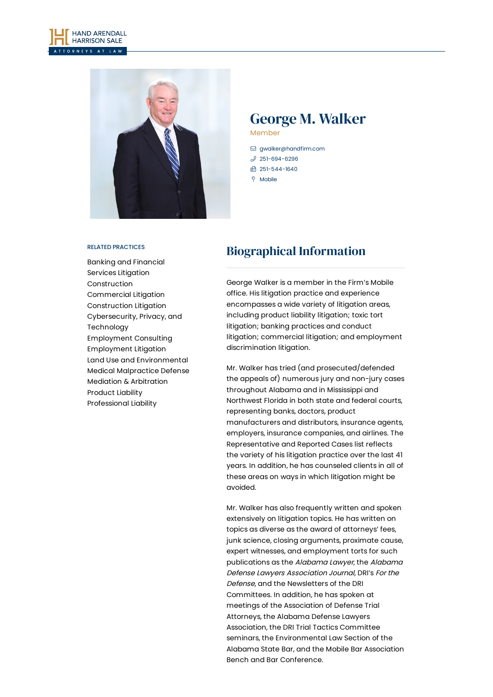



# George M. Walker

Member

- [gwalker@handfirm.com](mailto:gwalker@handfirm.com)  $$251-694-6296$  $$251-694-6296$ □ 251-544-1640
- $\degree$  Mobile

## RELATED PRACTICES

Banking and [Financial](https://www.handfirm.com/practices/litigation/banking-and-financial-services-litigation/) Services Litigation [Construction](https://www.handfirm.com/practices/industries/construction/) [Commercial](https://www.handfirm.com/practices/litigation/commercial-litigation/) Litigation [Construction](https://www.handfirm.com/practices/litigation/construction-litigation/) Litigation [Cybersecurity,](https://www.handfirm.com/practices/industries/cybersecurity/) Privacy, and Technology [Employment](https://www.handfirm.com/practices/business-services/employment-consulting/) Consulting [Employment](https://www.handfirm.com/practices/litigation/employment-litigation/) Litigation Land Use and [Environmental](https://www.handfirm.com/practices/business-services/land-use-and-environmental/) Medical [Malpractice](https://www.handfirm.com/practices/litigation/medical-malpractice-defense/) Defense Mediation & [Arbitration](https://www.handfirm.com/practices/litigation/mediation-arbitration/) [Product](https://www.handfirm.com/practices/litigation/product-liability/) Liability [Professional](https://www.handfirm.com/practices/litigation/professional-liability/) Liability

# Biographical Information

George Walker is a member in the Firm's Mobile office. His litigation practice and experience encompasses a wide variety of litigation areas, including product liability litigation; toxic tort litigation; banking practices and conduct litigation; commercial litigation; and employment discrimination litigation.

Mr. Walker has tried (and prosecuted/defended the appeals of) numerous jury and non-jury cases throughout Alabama and in Mississippi and Northwest Florida in both state and federal courts, representing banks, doctors, product manufacturers and distributors, insurance agents, employers, insurance companies, and airlines. The Representative and Reported Cases list reflects the variety of his litigation practice over the last 41 years. In addition, he has counseled clients in all of these areas on ways in which litigation might be avoided.

Mr. Walker has also frequently written and spoken extensively on litigation topics. He has written on topics as diverse as the award of attorneys' fees, junk science, closing arguments, proximate cause, expert witnesses, and employment torts for such publications as the Alabama Lawyer, the Alabama Defense Lawyers Association Journal, DRI's For the Defense, and the Newsletters of the DRI Committees. In addition, he has spoken at meetings of the Association of Defense Trial Attorneys, the Alabama Defense Lawyers Association, the DRI Trial Tactics Committee seminars, the Environmental Law Section of the Alabama State Bar, and the Mobile Bar Association Bench and Bar Conference.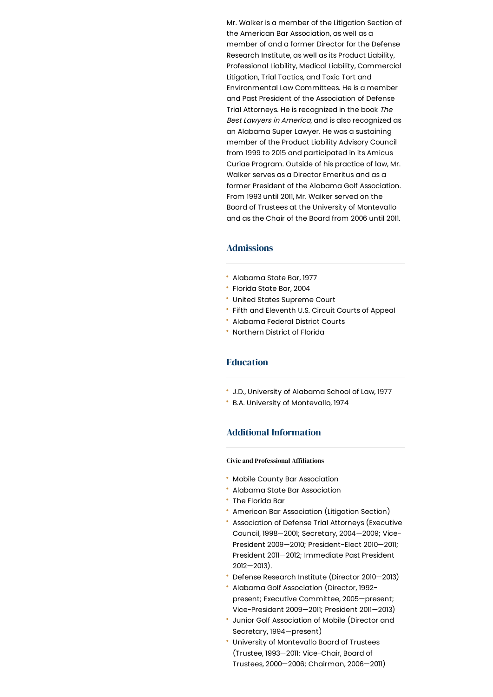Mr. Walker is a member of the Litigation Section of the American Bar Association, as well as a member of and a former Director for the Defense Research Institute, as well as its Product Liability, Professional Liability, Medical Liability, Commercial Litigation, Trial Tactics, and Toxic Tort and Environmental Law Committees. He is a member and Past President of the Association of Defense Trial Attorneys. He is recognized in the book The Best Lawyers in America, and is also recognized as an Alabama Super Lawyer. He was a sustaining member of the Product Liability Advisory Council from 1999 to 2015 and participated in its Amicus Curiae Program. Outside of his practice of law, Mr. Walker serves as a Director Emeritus and as a former President of the Alabama Golf Association. From 1993 until 2011, Mr. Walker served on the Board of Trustees at the University of Montevallo and as the Chair of the Board from 2006 until 2011.

### Admissions

- Alabama State Bar, 1977
- Florida State Bar, 2004
- United States Supreme Court
- Fifth and Eleventh U.S. Circuit Courts of Appeal
- Alabama Federal District Courts
- Northern District of Florida

### Education

- J.D., University of Alabama School of Law, 1977
- B.A. University of Montevallo, 1974

### Additional Information

#### **Civic and Professional Affiliations**

- Mobile County Bar Association
- Alabama State Bar Association
- The Florida Bar
- American Bar Association (Litigation Section)
- Association of Defense Trial Attorneys (Executive Council, 1998—2001; Secretary, 2004—2009; Vice-President 2009—2010; President-Elect 2010—2011; President 2011—2012; Immediate Past President 2012—2013).
- Defense Research Institute (Director 2010—2013)
- Alabama Golf Association (Director, 1992 present; Executive Committee, 2005—present; Vice-President 2009—2011; President 2011—2013)
- Junior Golf Association of Mobile (Director and Secretary, 1994—present)
- University of Montevallo Board of Trustees (Trustee, 1993—2011; Vice-Chair, Board of Trustees, 2000—2006; Chairman, 2006—2011)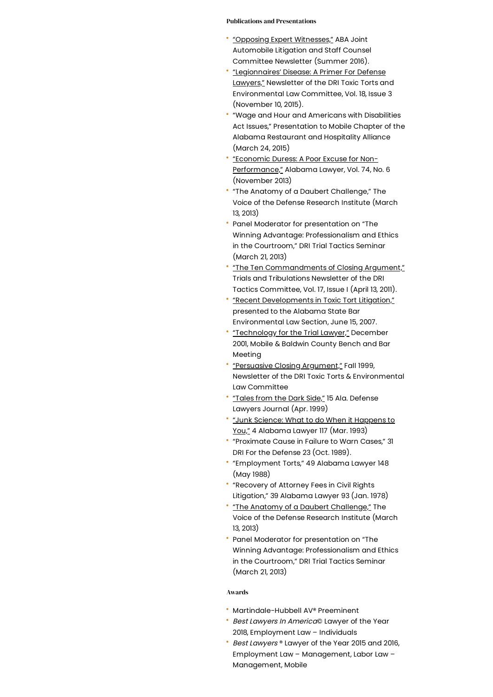#### Publications and Presentations

- "Opposing Expert [Witnesses,"](https://www.handfirm.com/wp-content/uploads/2020/12/walker_aba_committee_news_2016.pdf) ABA Joint Automobile Litigation and Staff Counsel Committee Newsletter (Summer 2016).
- ["Legionnaires'](http://portal.criticalimpact.com/newsletter/newslettershow5.cfm?contentonly=1&content=27227&id=3287) Disease: A Primer For Defense Lawyers," Newsletter of the DRI Toxic Torts and Environmental Law Committee, Vol. 18, Issue 3 (November 10, 2015).
- "Wage and Hour and Americans with Disabilities Act Issues," Presentation to Mobile Chapter of the Alabama Restaurant and Hospitality Alliance (March 24, 2015)
- "Economic Duress: A Poor Excuse for Non-[Performance,"](https://www.handfirm.com/wp-content/uploads/2020/12/walker_economic_duress_a_poor_excuse_for_nonperformance.pdf) Alabama Lawyer, Vol. 74, No. 6 (November 2013)
- "The Anatomy of a Daubert Challenge," The Voice of the Defense Research Institute (March 13, 2013)
- Panel Moderator for presentation on "The Winning Advantage: Professionalism and Ethics in the Courtroom," DRI Trial Tactics Seminar (March 21, 2013)
- "The Ten [Commandments](https://www.handfirm.com/wp-content/uploads/2020/12/ten_commandments__closing_argument.pdf) of Closing Argument," Trials and Tribulations Newsletter of the DRI Tactics Committee, Vol. 17, Issue I (April 13, 2011).
- "Recent [Developments](https://www.handfirm.com/blog/recent-developments-in-toxic-tort-litigation-presented-to-the-alabama-state-bar-environmental-law-section-june-15-2007/) in Toxic Tort Litigation," presented to the Alabama State Bar Environmental Law Section, June 15, 2007.
- ["Technology](https://www.handfirm.com/blog/technology-for-the-trial-lawyer-december-2001-mobile-baldwin-county-bench-and-bar-meeting/) for the Trial Lawyer," December 2001, Mobile & Baldwin County Bench and Bar Meeting
- ["Persuasive](https://www.handfirm.com/blog/persuasive-closing-argument-newsletter-of-the-dri-toxic-torts-environmental-law-committee-fall-1999/) Closing Argument," Fall 1999, Newsletter of the DRI Toxic Torts & Environmental Law Committee
- ["Tales](https://www.handfirm.com/blog/tales-from-the-dark-side-15-ala-defense-lawyers-journal-apr-1999/) from the Dark Side," 15 Ala. Defense Lawyers Journal (Apr. 1999)
- "Junk Science: What to do When it Happens to You," 4 [Alabama](https://www.handfirm.com/blog/junk-science-what-to-do-when-it-happens-to-you-54-alabama-lawyer-117-mar-1993/) Lawyer 117 (Mar. 1993)
- "Proximate Cause in Failure to Warn Cases," 31 DRI For the Defense 23 (Oct. 1989).
- "Employment Torts," 49 Alabama Lawyer 148 (May 1988)
- "Recovery of Attorney Fees in Civil Rights Litigation," 39 Alabama Lawyer 93 (Jan. 1978)
- "The Anatomy of a Daubert [Challenge,"](https://www.handfirm.com/blog/anatomy-of-a-daubert-challenge/) The Voice of the Defense Research Institute (March 13, 2013)
- Panel Moderator for presentation on "The Winning Advantage: Professionalism and Ethics in the Courtroom," DRI Trial Tactics Seminar (March 21, 2013)

#### Awards

- Martindale-Hubbell AV® Preeminent
- **Best Lawyers In America© Lawyer of the Year** 2018, Employment Law – Individuals
- **Best Lawyers** ® Lawyer of the Year 2015 and 2016, Employment Law – Management, Labor Law – Management, Mobile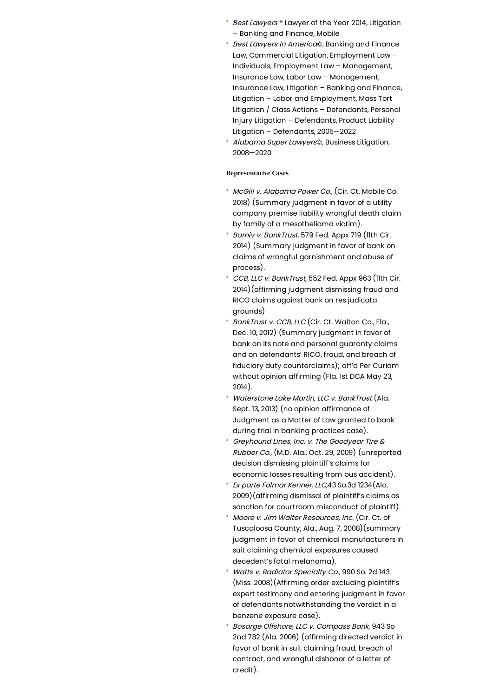- Best Lawyers ® Lawyer of the Year 2014, Litigation – Banking and Finance, Mobile
- Best Lawyers In America©, Banking and Finance Law, Commercial Litigation, Employment Law – Individuals, Employment Law – Management, Insurance Law, Labor Law – Management, Insurance Law, Litigation – Banking and Finance, Litigation – Labor and Employment, Mass Tort Litigation / Class Actions – Defendants, Personal Injury Litigation – Defendants, Product Liability Litigation – Defendants, 2005—2022
- Alabama Super Lawyers©, Business Litigation, 2008—2020

#### Representative Cases

- McGill v. Alabama Power Co., (Cir. Ct. Mobile Co. 2018) (Summary judgment in favor of a utility company premise liability wrongful death claim by family of a mesothelioma victim).
- Barniv v. BankTrust, 579 Fed. Appx 719 (11th Cir. 2014) (Summary judgment in favor of bank on claims of wrongful garnishment and abuse of process).
- CCB, LLC v. BankTrust, 552 Fed. Appx 963 (11th Cir. 2014)(affirming judgment dismissing fraud and RICO claims against bank on res judicata grounds)
- BankTrust v. CCB, LLC (Cir. Ct. Walton Co., Fla., Dec. 10, 2012) (Summary judgment in favor of bank on its note and personal guaranty claims and on defendants' RICO, fraud, and breach of fiduciary duty counterclaims); aff'd Per Curiam without opinion affirming (Fla. 1st DCA May 23, 2014).
- Waterstone Lake Martin, LLC v. BankTrust (Ala. Sept. 13, 2013) (no opinion affirmance of Judgment as a Matter of Law granted to bank during trial in banking practices case).
- Greyhound Lines, Inc. v. The Goodyear Tire & Rubber Co., (M.D. Ala., Oct. 29, 2009) (unreported decision dismissing plaintiff's claims for economic losses resulting from bus accident).
- Ex parte Folmar Kenner, LLC,43 So.3d 1234(Ala. 2009)(affirming dismissal of plaintiff's claims as sanction for courtroom misconduct of plaintiff).
- Moore v. Jim Walter Resources, Inc. (Cir. Ct. of Tuscaloosa County, Ala., Aug. 7, 2008)(summary judgment in favor of chemical manufacturers in suit claiming chemical exposures caused decedent's fatal melanoma).
- Watts v. Radiator Specialty Co., 990 So. 2d 143 (Miss. 2008)(Affirming order excluding plaintiff's expert testimony and entering judgment in favor of defendants notwithstanding the verdict in a benzene exposure case).
- Bosarge Offshore, LLC v. Compass Bank, 943 So 2nd 782 (Ala. 2006) (affirming directed verdict in favor of bank in suit claiming fraud, breach of contract, and wrongful dishonor of a letter of credit).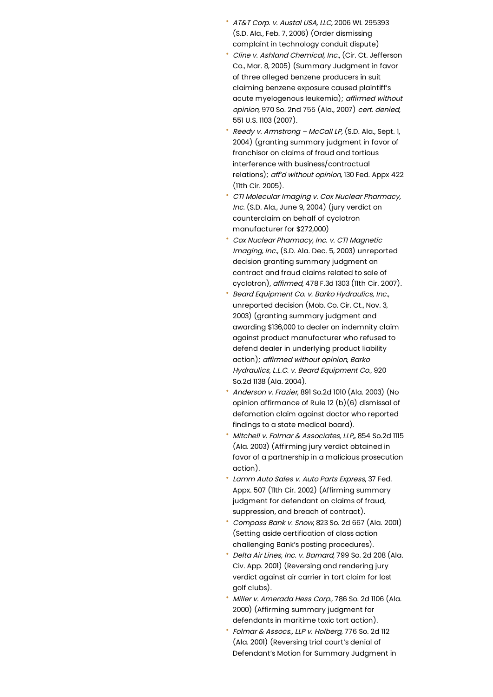- AT&T Corp. v. Austal USA, LLC, 2006 WL 295393 (S.D. Ala., Feb. 7, 2006) (Order dismissing complaint in technology conduit dispute)
- Cline v. Ashland Chemical, Inc., (Cir. Ct. Jefferson Co., Mar. 8, 2005) (Summary Judgment in favor of three alleged benzene producers in suit claiming benzene exposure caused plaintiff's acute myelogenous leukemia); affirmed without opinion, 970 So. 2nd 755 (Ala., 2007) cert. denied, 551 U.S. 1103 (2007).
- Reedy v. Armstrong McCall LP, (S.D. Ala., Sept. 1, 2004) (granting summary judgment in favor of franchisor on claims of fraud and tortious interference with business/contractual relations); aff'd without opinion, 130 Fed. Appx 422 (11th Cir. 2005).
- CTI Molecular Imaging v. Cox Nuclear Pharmacy, Inc. (S.D. Ala., June 9, 2004) (jury verdict on counterclaim on behalf of cyclotron manufacturer for \$272,000)
- Cox Nuclear Pharmacy, Inc. v. CTI Magnetic Imaging, Inc., (S.D. Alg. Dec. 5, 2003) unreported decision granting summary judgment on contract and fraud claims related to sale of cyclotron), affirmed, 478 F.3d 1303 (11th Cir. 2007).
- Beard Equipment Co. v. Barko Hydraulics, Inc., unreported decision (Mob. Co. Cir. Ct., Nov. 3, 2003) (granting summary judgment and awarding \$136,000 to dealer on indemnity claim against product manufacturer who refused to defend dealer in underlying product liability action); affirmed without opinion, Barko Hydraulics, L.L.C. v. Beard Equipment Co., 920 So.2d 1138 (Ala. 2004).
- Anderson v. Frazier, 891 So.2d 1010 (Ala. 2003) (No opinion affirmance of Rule 12 (b)(6) dismissal of defamation claim against doctor who reported findings to a state medical board).
- Mitchell v. Folmar & Associates, LLP, 854 So.2d 1115 (Ala. 2003) (Affirming jury verdict obtained in favor of a partnership in a malicious prosecution action).
- Lamm Auto Sales v. Auto Parts Express, 37 Fed. Appx. 507 (11th Cir. 2002) (Affirming summary judgment for defendant on claims of fraud, suppression, and breach of contract).
- Compass Bank v. Snow, 823 So. 2d 667 (Ala. 2001) (Setting aside certification of class action challenging Bank's posting procedures).
- Delta Air Lines, Inc. v. Barnard, 799 So. 2d 208 (Ala. Civ. App. 2001) (Reversing and rendering jury verdict against air carrier in tort claim for lost golf clubs).
- Miller v. Amerada Hess Corp., 786 So. 2d 1106 (Ala. 2000) (Affirming summary judgment for defendants in maritime toxic tort action).
- Folmar & Assocs., LLP v. Holberg, 776 So. 2d 112 (Ala. 2001) (Reversing trial court's denial of Defendant's Motion for Summary Judgment in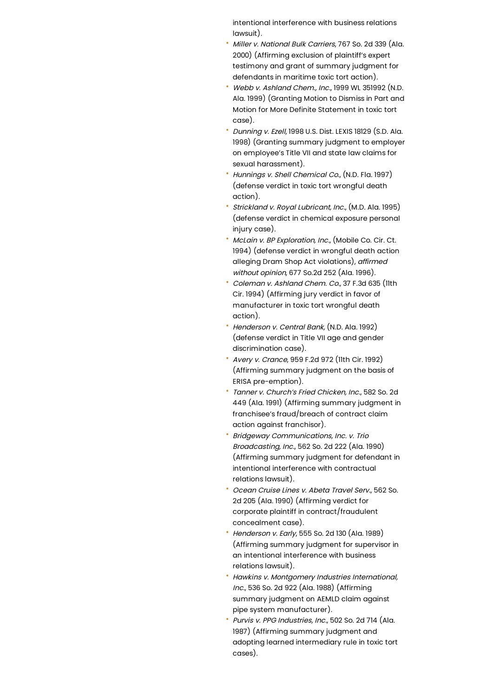intentional interference with business relations lawsuit).

- Miller v. National Bulk Carriers, 767 So. 2d 339 (Ala. 2000) (Affirming exclusion of plaintiff's expert testimony and grant of summary judgment for defendants in maritime toxic tort action).
- Webb v. Ashland Chem., Inc., 1999 WL 351992 (N.D. Ala. 1999) (Granting Motion to Dismiss in Part and Motion for More Definite Statement in toxic tort case).
- Dunning v. Ezell, 1998 U.S. Dist. LEXIS 18129 (S.D. Ala. 1998) (Granting summary judgment to employer on employee's Title VII and state law claims for sexual harassment).
- Hunnings v. Shell Chemical Co., (N.D. Fla. 1997) (defense verdict in toxic tort wrongful death action).
- Strickland v. Royal Lubricant, Inc., (M.D. Ala. 1995) (defense verdict in chemical exposure personal injury case).
- McLain v. BP Exploration, Inc., (Mobile Co. Cir. Ct. 1994) (defense verdict in wrongful death action alleging Dram Shop Act violations), affirmed without opinion, 677 So.2d 252 (Ala. 1996).
- Coleman v. Ashland Chem. Co., 37 F.3d 635 (11th Cir. 1994) (Affirming jury verdict in favor of manufacturer in toxic tort wrongful death action).
- Henderson v. Central Bank, (N.D. Ala. 1992) (defense verdict in Title VII age and gender discrimination case).
- Avery v. Crance, 959 F.2d 972 (11th Cir. 1992) (Affirming summary judgment on the basis of ERISA pre-emption).
- Tanner v. Church's Fried Chicken, Inc., 582 So. 2d 449 (Ala. 1991) (Affirming summary judgment in franchisee's fraud/breach of contract claim action against franchisor).
- Bridgeway Communications, Inc. v. Trio Broadcasting, Inc., 562 So. 2d 222 (Ala. 1990) (Affirming summary judgment for defendant in intentional interference with contractual relations lawsuit).
- Ocean Cruise Lines v. Abeta Travel Serv., 562 So. 2d 205 (Ala. 1990) (Affirming verdict for corporate plaintiff in contract/fraudulent concealment case).
- Henderson v. Early, 555 So. 2d 130 (Ala. 1989) (Affirming summary judgment for supervisor in an intentional interference with business relations lawsuit).
- Hawkins v. Montgomery Industries International, Inc., 536 So. 2d 922 (Ala. 1988) (Affirming summary judgment on AEMLD claim against pipe system manufacturer).
- Purvis v. PPG Industries, Inc., 502 So. 2d 714 (Ala. 1987) (Affirming summary judgment and adopting learned intermediary rule in toxic tort cases).